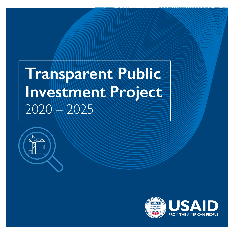# **Transparent Public** Investment **Project** 2020 2025



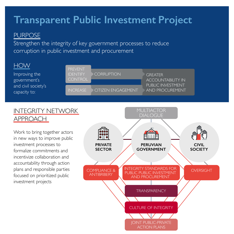# **Transparent Public Investment Project**

### PURPOSE

Strengthen the integrity of key government processes to reduce corruption in public investment and procurement

| <b>HOW</b>                          |                                                     |                           |                                             |
|-------------------------------------|-----------------------------------------------------|---------------------------|---------------------------------------------|
| Improving the<br>government's       | <b>PREVENT</b><br><b>IDENTIFY</b><br><b>CONTROL</b> | <b>CORRUPTION</b>         | <b>GREATER</b><br><b>ACCOUNTABILITY IN</b>  |
| and civil society's<br>capacity to: | <b>INCREASE</b>                                     | <b>CITIZEN ENGAGEMENT</b> | PUBLIC INVESTMENT<br><b>AND PROCUREMENT</b> |

#### INTEGRITY NETWORK APPROACH

Work to bring together actors in new ways to improve public investment processes to formalize commitments and incentivize collaboration and accountability through action plans and responsible parties focused on prioritized public investment projects

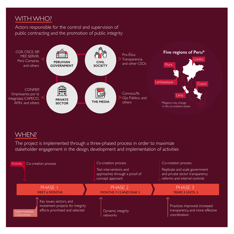## WITH WHO?

Actors responsible for the control and supervision of public contracting and the promotion of public integrity



#### WHEN?

The project is implemented through a three-phased process in order to maximize stakeholder engagement in the design, development and implementation of activities